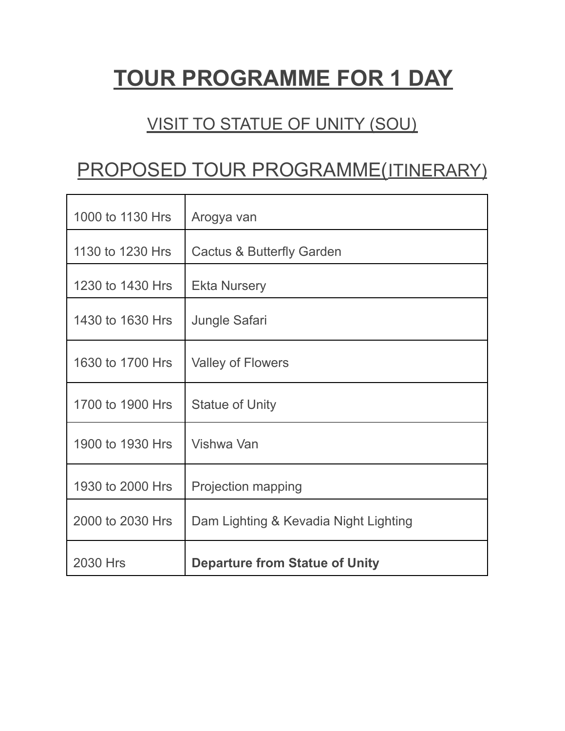# **TOUR PROGRAMME FOR 1 DAY**

### VISIT TO STATUE OF UNITY (SOU)

## PROPOSED TOUR PROGRAMME(ITINERARY)

| 1000 to 1130 Hrs | Arogya van                            |
|------------------|---------------------------------------|
| 1130 to 1230 Hrs | <b>Cactus &amp; Butterfly Garden</b>  |
| 1230 to 1430 Hrs | <b>Ekta Nursery</b>                   |
| 1430 to 1630 Hrs | <b>Jungle Safari</b>                  |
| 1630 to 1700 Hrs | <b>Valley of Flowers</b>              |
| 1700 to 1900 Hrs | <b>Statue of Unity</b>                |
| 1900 to 1930 Hrs | Vishwa Van                            |
| 1930 to 2000 Hrs | <b>Projection mapping</b>             |
| 2000 to 2030 Hrs | Dam Lighting & Kevadia Night Lighting |
| 2030 Hrs         | <b>Departure from Statue of Unity</b> |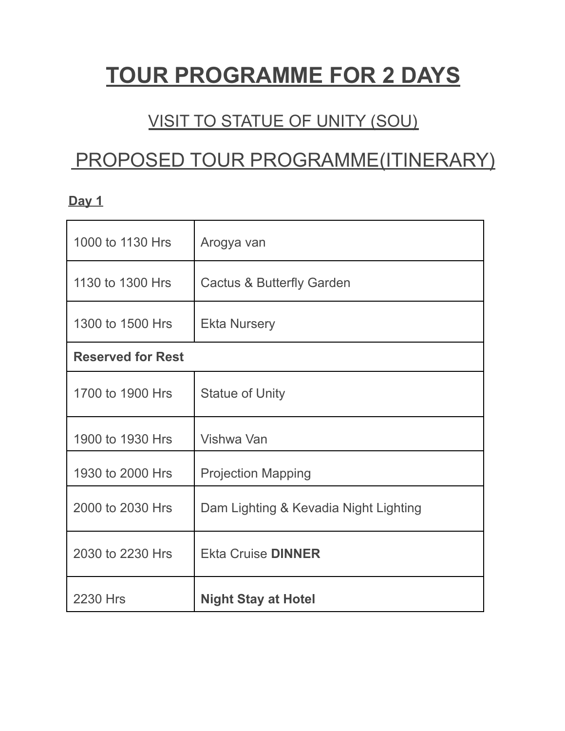# **TOUR PROGRAMME FOR 2 DAYS**

### VISIT TO STATUE OF UNITY (SOU)

## PROPOSED TOUR PROGRAMME(ITINERARY)

| 1000 to 1130 Hrs         | Arogya van                            |
|--------------------------|---------------------------------------|
| 1130 to 1300 Hrs         | <b>Cactus &amp; Butterfly Garden</b>  |
| 1300 to 1500 Hrs         | <b>Ekta Nursery</b>                   |
| <b>Reserved for Rest</b> |                                       |
| 1700 to 1900 Hrs         | <b>Statue of Unity</b>                |
| 1900 to 1930 Hrs         | Vishwa Van                            |
| 1930 to 2000 Hrs         | <b>Projection Mapping</b>             |
| 2000 to 2030 Hrs         | Dam Lighting & Kevadia Night Lighting |
| 2030 to 2230 Hrs         | <b>Ekta Cruise DINNER</b>             |
| <b>2230 Hrs</b>          | <b>Night Stay at Hotel</b>            |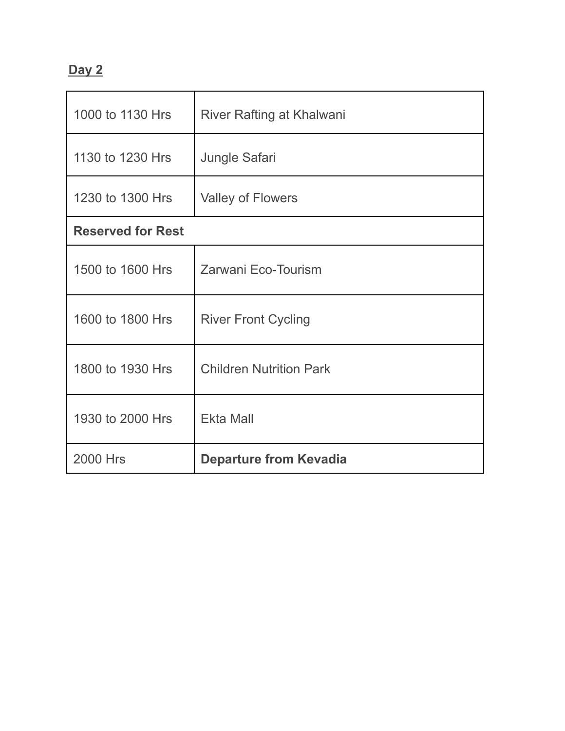| 1000 to 1130 Hrs         | River Rafting at Khalwani      |  |
|--------------------------|--------------------------------|--|
| 1130 to 1230 Hrs         | <b>Jungle Safari</b>           |  |
| 1230 to 1300 Hrs         | <b>Valley of Flowers</b>       |  |
| <b>Reserved for Rest</b> |                                |  |
| 1500 to 1600 Hrs         | Zarwani Eco-Tourism            |  |
| 1600 to 1800 Hrs         | <b>River Front Cycling</b>     |  |
| 1800 to 1930 Hrs         | <b>Children Nutrition Park</b> |  |
| 1930 to 2000 Hrs         | <b>Ekta Mall</b>               |  |
| <b>2000 Hrs</b>          | <b>Departure from Kevadia</b>  |  |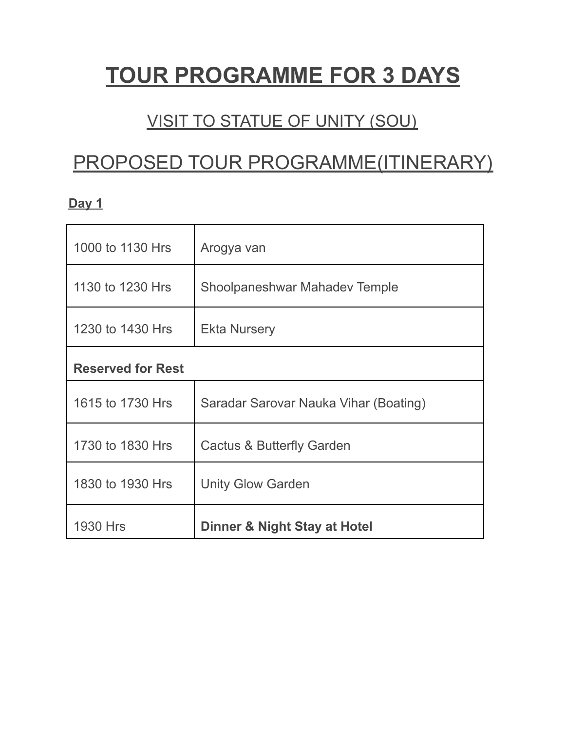# **TOUR PROGRAMME FOR 3 DAYS**

### VISIT TO STATUE OF UNITY (SOU)

## PROPOSED TOUR PROGRAMME(ITINERARY)

| 1000 to 1130 Hrs         | Arogya van                            |  |
|--------------------------|---------------------------------------|--|
| 1130 to 1230 Hrs         | Shoolpaneshwar Mahadev Temple         |  |
| 1230 to 1430 Hrs         | <b>Ekta Nursery</b>                   |  |
| <b>Reserved for Rest</b> |                                       |  |
| 1615 to 1730 Hrs         | Saradar Sarovar Nauka Vihar (Boating) |  |
| 1730 to 1830 Hrs         | <b>Cactus &amp; Butterfly Garden</b>  |  |
| 1830 to 1930 Hrs         | <b>Unity Glow Garden</b>              |  |
| <b>1930 Hrs</b>          | Dinner & Night Stay at Hotel          |  |